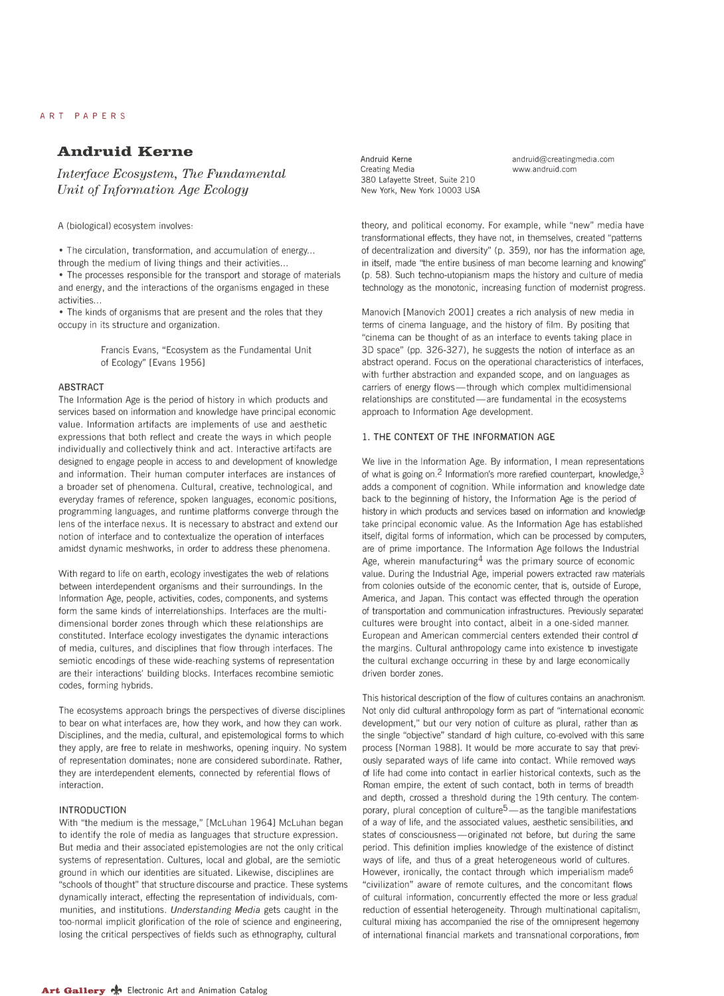#### ART PAPERS

# **Andruid Kerne**

*Interface Ecosystem, The Fundamental Unit of Information Age Ecology* 

A (biological) ecosystem involves:

• The circulation, transformation, and accumulation of energy ... through the medium of living things and their activities ...

• The processes responsible for the transport and storage of materials and energy, and the interactions of the organisms engaged in these activities...

• The kinds of organisms that are present and the roles that they occupy in its structure and organization.

> Francis Evans, "Ecosystem as the Fundamental Unit of Ecology" [Evans 1956]

### **ABSTRACT**

The Information Age is the period of history in which products and services based on information and knowledge have principal economic value. Information artifacts are implements of use and aesthetic expressions that both reflect and create the ways in which people individually and collectively think and act. Interactive artifacts are designed to engage people in access to and development of knowledge and information. Their human computer interfaces are instances of a broader set of phenomena. Cultural, creative, technological, and everyday frames of reference, spoken languages, economic positions, programming languages, and runtime platforms converge through the lens of the interface nexus. It is necessary to abstract and extend our notion of interface and to contextualize the operation of interfaces amidst dynamic meshworks, in order to address these phenomena.

With regard to life on earth, ecology investigates the web of relations between interdependent organisms and their surroundings. In the Information Age, people, activities, codes, components, and systems form the same kinds of interrelationships. Interfaces are the multidimensional border zones through which these relationships are constituted. Interface ecology investigates the dynamic interactions of media, cultures, and disciplines that flow through interfaces. The semiotic encodings of these wide-reaching systems of representation are their interactions' building blocks. Interfaces recombine semiotic codes, forming hybrids.

The ecosystems approach brings the perspectives of diverse disciplines to bear on what interfaces are, how they work, and how they can work. Disciplines, and the media, cultural, and epistemological forms to which they apply, are free to relate in meshworks, opening inquiry. No system of representation dominates; none are considered subordinate. Rather, they are interdependent elements, connected by referential flows of interaction.

# **INTRODUCTION**

With "the medium is the message," [McLuhan 1964] McLuhan began to identify the role of media as languages that structure expression. But media and their associated epistemologies are not the only critical systems of representation. Cultures, local and global, are the semiotic ground in which our identities are situated. Likewise, disciplines are "schools of thought" that structure discourse and practice. These systems dynamically interact, effecting the representation of individuals, communities, and institutions. *Understanding Media* gets caught in the too-normal implicit glorification of the role of science and engineering, losing the critical perspectives of fields such as ethnography, cultural

Andruid Kerne Creating Media 380 Lafayette Street, Suite 210 New York, New York 10003 USA andruid@creatingmedia.com www.andruid.com

theory, and political economy. For example, while "new" media have transformational effects, they have not, in themselves, created "patterns of decentralization and diversity" (p. 359), nor has the information age, in itself, made "the entire business of man become learning and knowing" (p. 58). Such techno-utopianism maps the history and culture of media technology as the monotonic, increasing function of modernist progress.

Manovich [Manovich 2001] creates a rich analysis of new media in terms of cinema language, and the history of film. By positing that "cinema can be thought of as an interface to events taking place in 3D space" (pp. 326-327), he suggests the notion of interface as an abstract operand. Focus on the operational characteristics of interfaces, with further abstraction and expanded scope, and on languages as carriers of energy flows-through which complex multidimensional relationships are constituted-are fundamental in the ecosystems approach to Information Age development.

#### **1. THE CONTEXT OF THE INFORMATION AGE**

We live in the Information Age. By information, I mean representations of what is going on.<sup>2</sup> Information's more rarefied counterpart, knowledge,  $3$ adds a component of cognition. While information and knowledge date back to the beginning of history, the Information Age is the period of history in which products and services based on information and knowledge take principal economic value. As the Information Age has established itself, digital forms of information, which can be processed by computers, are of prime importance. The Information Age follows the Industrial Age, wherein manufacturing<sup>4</sup> was the primary source of economic value. During the Industrial Age, imperial powers extracted raw materials from colonies outside of the economic center, that is, outside of Europe, America, and Japan. This contact was effected through the operation of transportation and communication infrastructures. Previously separated cultures were brought into contact, albeit in a one-sided manner. European and American commercial centers extended their control of the margins. Cultural anthropology came into existence to investigate the cultural exchange occurring in these by and large economically driven border zones.

This historical description of the flow of cultures contains an anachronism. Not only did cultural anthropology form as part of "international economic development," but our very notion of culture as plural, rather than as the single "objective" standard of high culture, co-evolved with this same process [Norman 1988]. It would be more accurate to say that previously separated ways of life came into contact. While removed ways of life had come into contact in earlier historical contexts, such as the Roman empire, the extent of such contact, both in terms of breadth and depth, crossed a threshold during the 19th century. The contemporary, plural conception of culture<sup>5</sup>-as the tangible manifestations of a way of life, and the associated values, aesthetic sensibilities, and states of consciousness-originated not before, but during the same period. This definition implies knowledge of the existence of distinct ways of life, and thus of a great heterogeneous world of cultures. However, ironically, the contact through which imperialism made<sup>6</sup> "civilization" aware of remote cultures, and the concomitant flows of cultural information, concurrently effected the more or less gradual reduction of essential heterogeneity. Through multinational capitalism, cultural mixing has accompanied the rise of the omnipresent hegemony of international financial markets and transnational corporations, from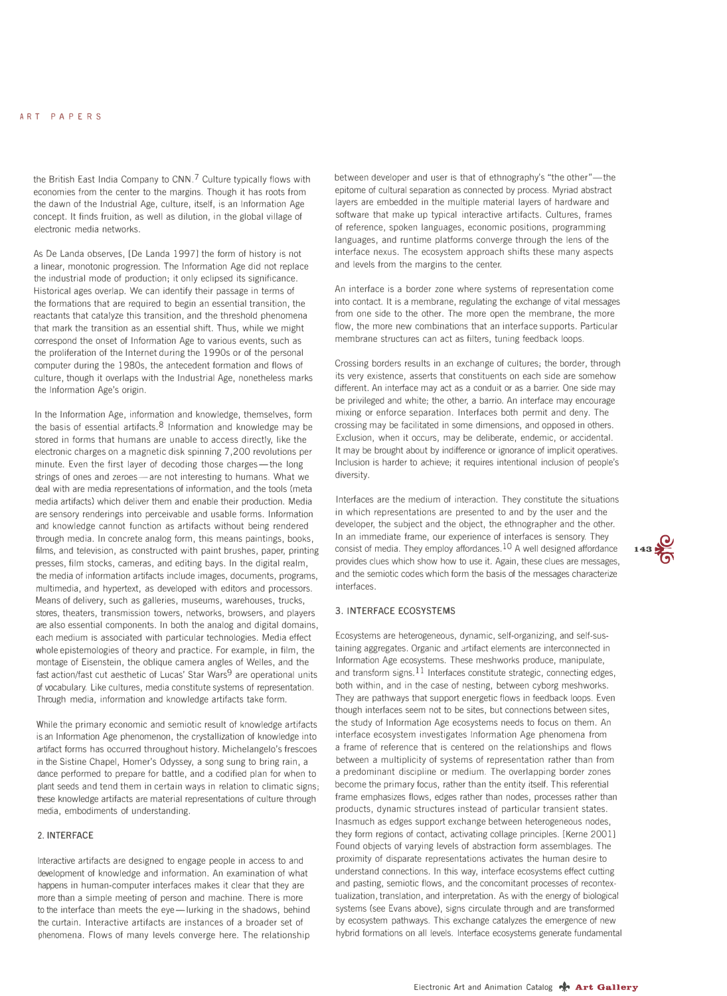the British East India Company to CNN.<sup>7</sup> Culture typically flows with economies from the center to the margins. Though it has roots from the dawn of the Industrial Age, culture, itself, is an Information Age concept. It finds fruition, as well as dilution, in the global village of electronic media networks.

As De Landa observes, [De Landa 1997] the form of history is not a linear, monotonic progression. The Information Age did not replace the industrial mode of production; it only eclipsed its significance. Historical ages overlap. We can identify their passage in terms of the formations that are required to begin an essential transition, the reactants that catalyze this transition, and the threshold phenomena that mark the transition as an essential shift. Thus, while we might correspond the onset of Information Age to various events, such as the proliferation of the Internet during the 1990s or of the personal computer during the 1980s, the antecedent formation and flows of culture, though it overlaps with the Industrial Age, nonetheless marks the Information Age's origin.

In the Information Age, information and knowledge, themselves, form the basis of essential artifacts.<sup>8</sup> Information and knowledge may be stored in forms that humans are unable to access directly, like the electronic charges on a magnetic disk spinning 7,200 revolutions per minute. Even the first layer of decoding those charges-the long strings of ones and zeroes-are not interesting to humans. What we deal with are media representations of information, and the tools (meta media artifacts) which deliver them and enable their production. Media are sensory renderings into perceivable and usable forms. Information and knowledge cannot function as artifacts without being rendered through media. In concrete analog form, this means paintings, books, films, and television, as constructed with paint brushes, paper, printing presses, film stocks, cameras, and editing bays. In the digital realm, the media of information artifacts include images, documents, programs, multimedia, and hypertext, as developed with editors and processors. Means of delivery, such as galleries, museums, warehouses, trucks, stores, theaters, transmission towers, networks, browsers, and players are also essential components. In both the analog and digital domains, each medium is associated with particular technologies. Media effect whole epistemologies of theory and practice. For example, in film, the montage of Eisenstein, the oblique camera angles of Welles, and the fast action/fast cut aesthetic of Lucas' Star Wars<sup>9</sup> are operational units of vocabulary. Like cultures, media constitute systems of representation. Through media, information and knowledge artifacts take form.

While the primary economic and semiotic result of knowledge artifacts is an Information Age phenomenon, the crystallization of knowledge into artifact forms has occurred throughout history. Michelangelo's frescoes in the Sistine Chapel, Homer's Odyssey, a song sung to bring rain, a dance performed to prepare for battle, and a codified plan for when to plant seeds and tend them in certain ways in relation to climatic signs; these knowledge artifacts are material representations of culture through media, embodiments of understanding.

# **2. INTERFACE**

Interactive artifacts are designed to engage people in access to and development of knowledge and information. An examination of what happens in human-computer interfaces makes it clear that they are more than a simple meeting of person and machine. There is more to the interface than meets the eye-lurking in the shadows, behind the curtain. Interactive artifacts are instances of a broader set of phenomena. Flows of many levels converge here. The relationship

between developer and user is that of ethnography's "the other"—the epitome of cultural separation as connected by process. Myriad abstract layers are embedded in the multiple material layers of hardware and software that make up typical interactive artifacts. Cultures, frames of reference, spoken languages, economic positions, programming languages, and runtime platforms converge through the lens of the interface nexus. The ecosystem approach shifts these many aspects and levels from the margins to the center.

An interface is a border zone where systems of representation come into contact. It is a membrane, regulating the exchange of vital messages from one side to the other. The more open the membrane, the more flow, the more new combinations that an interface supports. Particular membrane structures can act as filters, tuning feedback loops.

Crossing borders results in an exchange of cultures; the border, through its very existence, asserts that constituents on each side are somehow different. An interface may act as a conduit or as a barrier. One side may be privileged and white; the other, a barrio. An interface may encourage mixing or enforce separation. Interfaces both permit and deny. The crossing may be facilitated in some dimensions, and opposed in others. Exclusion, when it occurs, may be deliberate, endemic, or accidental. It may be brought about by indifference or ignorance of implicit operatives. Inclusion is harder to achieve; it requires intentional inclusion of people's diversity.

Interfaces are the medium of interaction. They constitute the situations in which representations are presented to and by the user and the developer, the subject and the object, the ethnographer and the other. In an immediate frame, our experience of interfaces is sensory. They consist of media. They employ affordances.<sup>10</sup> A well designed affordance provides clues which show how to use it. Again, these clues are messages, and the semiotic codes which form the basis of the messages characterize interfaces.

# **3. INTERFACE ECOSYSTEMS**

Ecosystems are heterogeneous, dynamic, self-organizing, and self-sustaining aggregates. Organic and artifact elements are interconnected in Information Age ecosystems. These meshworks produce, manipulate, and transform signs.<sup>11</sup> Interfaces constitute strategic, connecting edges, both within, and in the case of nesting, between cyborg meshworks. They are pathways that support energetic flows in feedback loops. Even though interfaces seem not to be sites, but connections between sites, the study of Information Age ecosystems needs to focus on them. An interface ecosystem investigates Information Age phenomena from a frame of reference that is centered on the relationships and flows between a multiplicity of systems of representation rather than from a predominant discipline or medium. The overlapping border zones become the primary focus, rather than the entity itself. This referential frame emphasizes flows, edges rather than nodes, processes rather than products, dynamic structures instead of particular transient states. Inasmuch as edges support exchange between heterogeneous nodes, they form regions of contact, activating collage principles. [Kerne 2001] Found objects of varying levels of abstraction form assemblages. The proximity of disparate representations activates the human desire to understand connections. In this way, interface ecosystems effect cutting and pasting, semiotic flows, and the concomitant processes of recontextualization, translation, and interpretation. As with the energy of biological systems (see Evans above), signs circulate through and are transformed by ecosystem pathways. This exchange catalyzes the emergence of new hybrid formations on all levels. Interface ecosystems generate fundamental

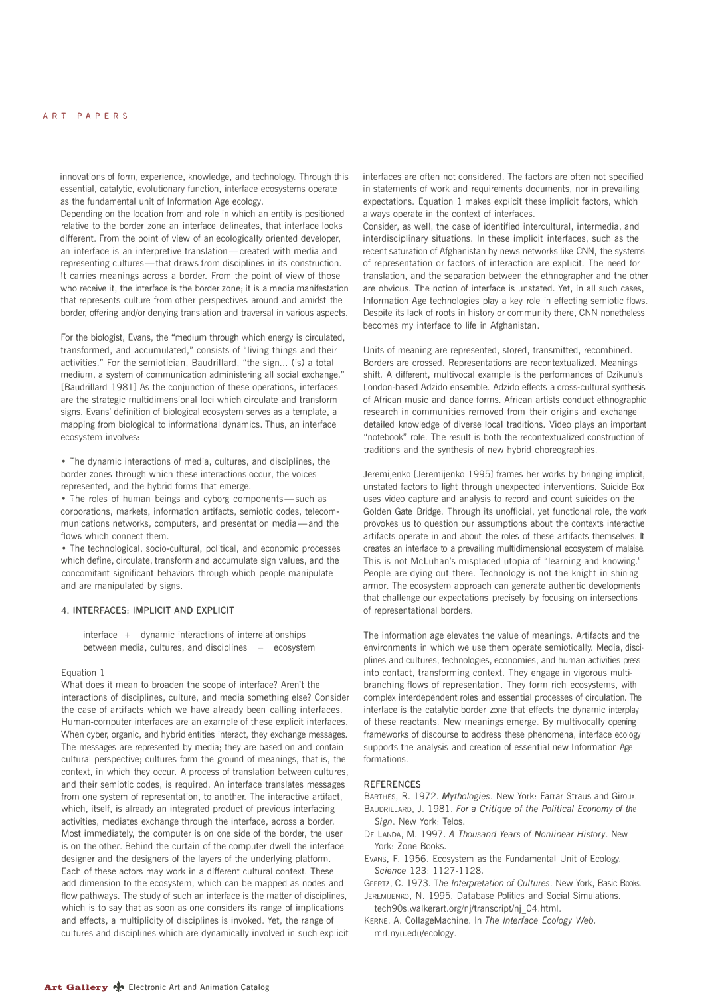innovations of form, experience, knowledge, and technology. Through this essential, catalytic, evolutionary function, interface ecosystems operate as the fundamental unit of Information Age ecology.

Depending on the location from and role in which an entity is positioned relative to the border zone an interface delineates, that interface looks different. From the point of view of an ecologically oriented developer, an interface is an interpretive translation-created with media and representing cultures—that draws from disciplines in its construction. It carries meanings across a border. From the point of view of those who receive it, the interface is the border zone; it is a media manifestation that represents culture from other perspectives around and amidst the border, offering and/or denying translation and traversal in various aspects.

For the biologist, Evans, the "medium through which energy is circulated, transformed, and accumulated," consists of "living things and their activities." For the semiotician, Baudrillard, "the sign... (is) a total medium, a system of communication administering all social exchange." [Baudrillard 1981] As the conjunction of these operations, interfaces are the strategic multidimensional loci which circulate and transform signs. Evans' definition of biological ecosystem serves as a template, a mapping from biological to informational dynamics. Thus, an interface ecosystem involves:

• The dynamic interactions of media, cultures, and disciplines, the border zones through which these interactions occur, the voices represented, and the hybrid forms that emerge.

• The roles of human beings and cyborg components-such as corporations, markets, information artifacts, semiotic codes, telecommunications networks, computers, and presentation media-and the flows which connect them.

• The technological, socio-cultural, political, and economic processes which define, circulate, transform and accumulate sign values, and the concomitant significant behaviors through which people manipulate and are manipulated by signs.

# **4. INTERFACES: IMPLICIT AND EXPLICIT**

interface + dynamic interactions of interrelationships between media, cultures, and disciplines  $=$  ecosystem

#### Equation 1

What does it mean to broaden the scope of interface? Aren't the interactions of disciplines, culture, and media something else? Consider the case of artifacts which we have already been calling interfaces. Human-computer interfaces are an example of these explicit interfaces. When cyber, organic, and hybrid entities interact, they exchange messages. The messages are represented by media; they are based on and contain cultural perspective; cultures form the ground of meanings, that is, the context, in which they occur. A process of translation between cultures, and their semiotic codes, is required. An interface translates messages from one system of representation, to another. The interactive artifact, which, itself, is already an integrated product of previous interfacing activities, mediates exchange through the interface, across a border. Most immediately, the computer is on one side of the border, the user is on the other. Behind the curtain of the computer dwell the interface designer and the designers of the layers of the underlying platform. Each of these actors may work in a different cultural context. These add dimension to the ecosystem, which can be mapped as nodes and flow pathways. The study of such an interface is the matter of disciplines, which is to say that as soon as one considers its range of implications and effects, a multiplicity of disciplines is invoked. Yet, the range of cultures and disciplines which are dynamically involved in such explicit interfaces are often not considered. The factors are often not specified in statements of work and requirements documents, nor in prevailing expectations. Equation 1 makes explicit these implicit factors, which always operate in the context of interfaces.

Consider, as well, the case of identified intercultural, intermedia, and interdisciplinary situations. In these implicit interfaces, such as the recent saturation of Afghanistan by news networks like CNN, the systems of representation or factors of interaction are explicit. The need for translation, and the separation between the ethnographer and the other are obvious. The notion of interface is unstated. Yet, in all such cases, Information Age technologies play a key role in effecting semiotic flows. Despite its lack of roots in history or community there, CNN nonetheless becomes my interface to life in Afghanistan.

Units of meaning are represented, stored, transmitted, recombined. Borders are crossed. Representations are recontextualized. Meanings shift. A different, multivocal example is the performances of Dzikunu's London-based Adzido ensemble. Adzido effects a cross-cultural synthesis of African music and dance forms. African artists conduct ethnographic research in communities removed from their origins and exchange detailed knowledge of diverse local traditions. Video plays an important "notebook" role. The result is both the recontextualized construction of traditions and the synthesis of new hybrid choreographies.

Jeremijenko [Jeremijenko 1995] frames her works by bringing implicit, unstated factors to light through unexpected interventions. Suicide Box uses video capture and analysis to record and count suicides on the Golden Gate Bridge. Through its unofficial, yet functional role, the work provokes us to question our assumptions about the contexts interactive artifacts operate in and about the roles of these artifacts themselves. It creates an interface to a prevailing multidimensional ecosystem of malaise. This is not McLuhan's misplaced utopia of "learning and knowing." People are dying out there. Technology is not the knight in shining armor. The ecosystem approach can generate authentic developments that challenge our expectations precisely by focusing on intersections of representational borders.

The information age elevates the value of meanings. Artifacts and the environments in which we use them operate semiotically. Media, disciplines and cultures, technologies, economies, and human activities press into contact, transforming context. They engage in vigorous multibranching flows of representation. They form rich ecosystems, with complex interdependent roles and essential processes of circulation. The interface is the catalytic border zone that effects the dynamic interplay of these reactants. New meanings emerge. By multivocally opening frameworks of discourse to address these phenomena, interface ecology supports the analysis and creation of essential new Information Age formations.

### **REFERENCES**

BARTHES, R. 1972. *Mythologies.* New York: Farrar Straus and Giroux. BAUDRILLARD, J. 1981. *For a Critique of the Political Economy of the Sign.* New York: Telos.

- DE LANDA, M. 1997. *A Thousand Years of Nonlinear History.* New York: Zone Books.
- EVANS, F. 1956. Ecosystem as the Fundamental Unit of Ecology. *Science* 123: 1127-1128.

GEERTZ, C. 1973. *The Interpretation of Cultures.* New York, Basic Books. JEREMIJENKO, N. 1995. Database Politics and Social Simulations.

tech90s. walkerart.org/nj/transcript/nj\_ 04. html.

KERNE, A. CollageMachine. In *The Interface Ecology Web.*  mrl.nyu.edu/ecology.